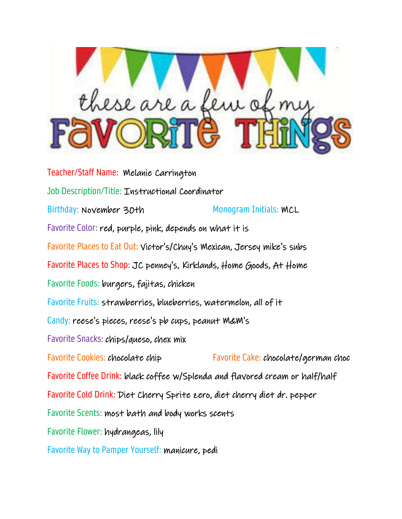

Teacher/Staff Name: Melanie Carrington Job Description/Title: Instructional Coordinator Birthday: November 30th Monogram Initials: MCL Favorite Color: red, purple, pink, depends on what it is Favorite Places to Eat Out: Victor's/Chuy's Mexican, Jersey mike's subs Favorite Places to Shop: JC penney's, Kirklands, Home Goods, At Home Favorite Foods: burgers, fajitas, chicken Favorite Fruits: strawberries, blueberries, watermelon, all of it Candy: reese's pieces, reese's pb cups, peanut M&M's Favorite Snacks: chips/queso, chex mix Favorite Cookies: chocolate chip Favorite Cake: chocolate/german choc Favorite Coffee Drink: black coffee w/Splenda and flavored cream or half/half Favorite Cold Drink: Diet Cherry Sprite zero, diet cherry diet dr. pepper Favorite Scents: most bath and body works scents Favorite Flower: hydrangeas, lily Favorite Way to Pamper Yourself: manicure, pedi